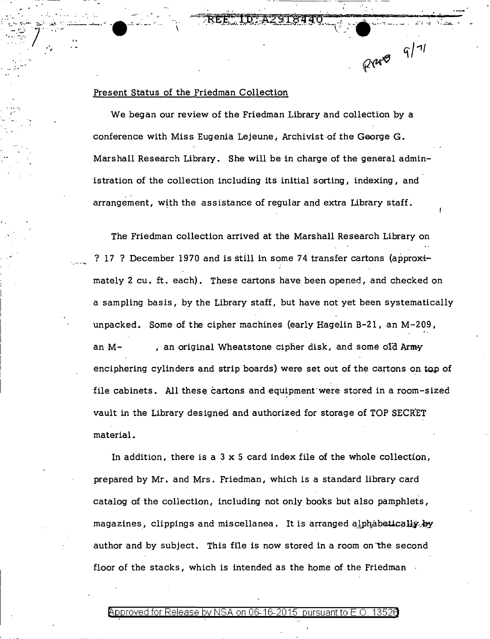Present Status of the Friedman Collection

We began our review of the Friedman Library and collection by a conference with Miss Eugenia Lejeune, Archivist of the George G. Marshall Research Library. She will be in charge of the general administration of the collection including its initial sorting, indexing, and arrangement, with the assistance of regular and extra Library staff.

 $R4589911$ 

The Friedman collection arrived at the Marshall Research Library on ? 17 ? December 1970 and is still in some 74 transfer cartons (approximately 2 cu. ft. each). These cartons have been opened, and checked on a sampling basis, by the Library staff, but have not yet been systematically unpacked. Some of the cipher machines (early Hagelin B-21, an M-209, , an original Wheatstone cipher disk, and some old Army an  $M$ enciphering cylinders and strip boards) were set out of the cartons on top of file cabinets. All these cartons and equipment were stored in a room-sized vault in the Library designed and authorized for storage of TOP SECRET material.

In addition, there is a  $3 \times 5$  card index file of the whole collection, prepared by Mr. and Mrs. Friedman, which is a standard library card catalog of the collection, including not only books but also pamphlets, magazines, clippings and miscellanea. It is arranged alphabetically by author and by subject. This file is now stored in a room on the second floor of the stacks, which is intended as the home of the Friedman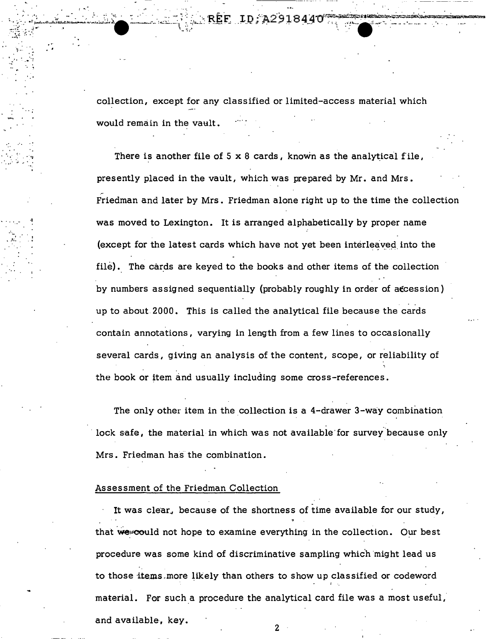collection, except for any classified or limited-access material which would remain in the vault.

There is another file of 5 x 8 cards, known as the analytical file, presently placed in the vault, which was prepared by Mr. and Mrs. Friedman and later by Mrs. Friedman alone right up to the time the collection was moved to Lexington. It is arranged alphabetically by proper name (except for the latest cards which have not yet been interleaved into the file). The cards are keyed to the books and other items of the collection by numbers assigned sequentially (probably roughly in order of accession) up to about 2000. This is called the analytical file because the cards contain annotations, varying in length from a few lines to occasionally several cards, giving an analysis of the content, scope, or reliability of the book or item and usually including some cross-references.

The only other item in the collection is a 4-drawer 3-way combination lock safe, the material in which was not available for survey because only Mrs. Friedman has the combination.

## Assessment of the Friedman Collection

It was clear, because of the shortness of time available for our study, that we could not hope to examine everything in the collection. Our best procedure was some kind of discriminative sampling which might lead us to those items more likely than others to show up classified or codeword material. For such a procedure the analytical card file was a most useful, and available, key.

2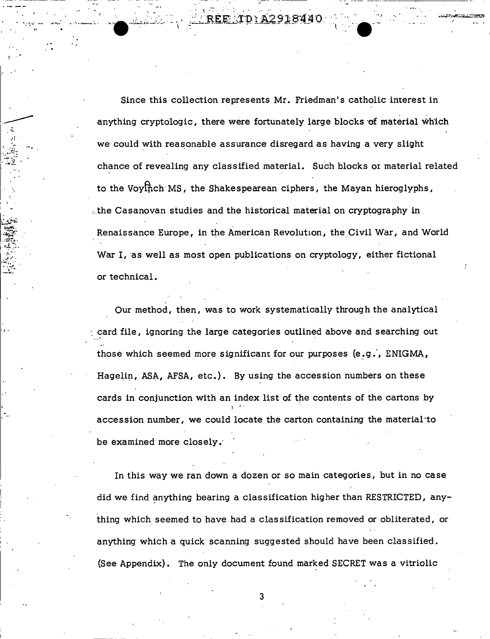Since this collection represents Mr. Friedman's catholic interest in anything cryptologic, there were fortunately large blocks of material which we could with reasonable assurance disregard as having a very slight chance of revealing any classified material. Such blocks or material related to the Voyinch MS, the Shakespearean ciphers, the Mayan hieroglyphs, the Casanovan studies and the historical material on cryptography in Renaissance Europe, in the American Revolution, the Civil War, and World War I, as well as most open publications on cryptology, either fictional or technical.

Our method, then, was to work systematically through the analytical card file, ignoring the large categories outlined above and searching out those which seemed more significant for our purposes (e.g., ENIGMA, Hagelin, ASA, AFSA, etc.). By using the accession numbers on these cards in conjunction with an index list of the contents of the cartons by accession number, we could locate the carton containing the material to be examined more closely.

In this way we ran down a dozen or so main categories, but in no case did we find anything bearing a classification higher than RESTRICTED, anything which seemed to have had a classification removed or obliterated, or anything which a quick scanning suggested should have been classified. (See Appendix). The only document found marked SECRET was a vitriolic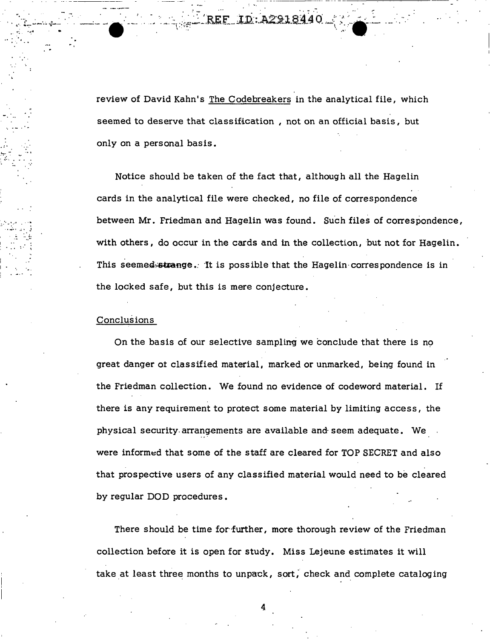: ...

review of David Kahn's The Codebreakers in the analytical file, which seemed to deserve that classification, not on an official basis, but only on a personal basis •

Notice should be taken of the fact that, although all the Hagelin cards in the analytical file were checked, no file of correspondence between Mr. Friedman and Hagelin was found. Such files of correspondence, with others, do occur in the cards and in the collection, but not for Hagelin . This seemed strange. It is possible that the Hagelin correspondence is in the locked safe, but this is mere conjecture.

## Conclusions

'. '~ ··~.

" ·- ....

 $\mathcal{L}^{\text{max}}$ 

'•. ·' ... -· . ... · .... ;• . .' ,;, :. ~-  $\mathbb{R} \times \mathbb{R}$ 

*. :·* 

On the basis of our selective sampling we conclude that there is no great danger ot classified material, marked or unmarked, being found in the Friedman collection. We found no evidence of codeword material. If there is any requirement to protect some material by limiting access, the physical security arrangements are available and seem adequate. We a were informed that some of the staff are cleared for TOP SECRET and also that prospective users of any classified material would need to be cleared by regular DOD procedures.

There should be time for further, more thorough review of the Friedman collection before it is open for study. Miss Lejeune estimates it will take at least three months to unpack, sort, check and complete cataloging

4